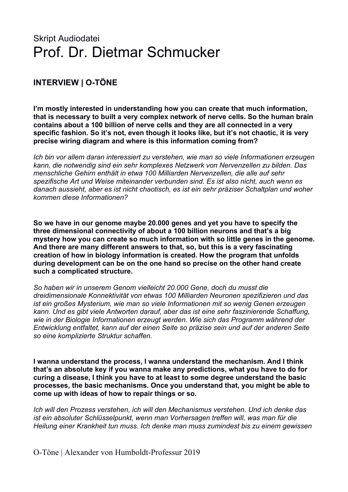## Skript Audiodatei Prof. Dr. Dietmar Schmucker

## **INTERVIEW | O-TÖNE**

**I'm mostly interested in understanding how you can create that much information, that is necessary to built a very complex network of nerve cells. So the human brain contains about a 100 billion of nerve cells and they are all connected in a very specific fashion. So it's not, even though it looks like, but it's not chaotic, it is very precise wiring diagram and where is this information coming from?**

*Ich bin vor allem daran interessiert zu verstehen, wie man so viele Informationen erzeugen kann, die notwendig sind ein sehr komplexes Netzwerk von Nervenzellen zu bilden. Das menschliche Gehirn enthält in etwa 100 Milliarden Nervenzellen, die alle auf sehr spezifische Art und Weise miteinander verbunden sind. Es ist also nicht, auch wenn es danach aussieht, aber es ist nicht chaotisch, es ist ein sehr präziser Schaltplan und woher kommen diese Informationen?*

**So we have in our genome maybe 20.000 genes and yet you have to specify the three dimensional connectivity of about a 100 billion neurons and that's a big mystery how you can create so much information with so little genes in the genome. And there are many different answers to that, so, but this is a very fascinating creation of how in biology information is created. How the program that unfolds during development can be on the one hand so precise on the other hand create such a complicated structure.**

*So haben wir in unserem Genom vielleicht 20.000 Gene, doch du musst die dreidimensionale Konnektivität von etwas 100 Milliarden Neuronen spezifizieren und das ist ein großes Mysterium, wie man so viele Informationen mit so wenig Genen erzeugen kann. Und es gibt viele Antworten darauf, aber das ist eine sehr faszinierende Schaffung, wie in der Biologie Informationen erzeugt werden. Wie sich das Programm während der Entwicklung entfaltet, kann auf der einen Seite so präzise sein und auf der anderen Seite so eine komplizierte Struktur schaffen.*

**I wanna understand the process, I wanna understand the mechanism. And I think that's an absolute key if you wanna make any predictions, what you have to do for curing a disease, I think you have to at least to some degree understand the basic processes, the basic mechanisms. Once you understand that, you might be able to come up with ideas of how to repair things or so.**

*Ich will den Prozess verstehen, ich will den Mechanismus verstehen. Und ich denke das ist ein absoluter Schlüsselpunkt, wenn man Vorhersagen treffen will, was man für die Heilung einer Krankheit tun muss. Ich denke man muss zumindest bis zu einem gewissen* 

O-Töne | Alexander von Humboldt-Professur 2019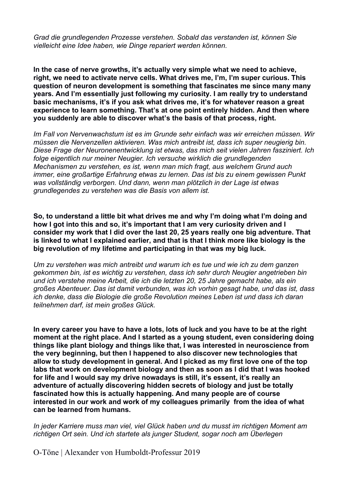*Grad die grundlegenden Prozesse verstehen. Sobald das verstanden ist, können Sie vielleicht eine Idee haben, wie Dinge repariert werden können.*

**In the case of nerve growths, it's actually very simple what we need to achieve, right, we need to activate nerve cells. What drives me, I'm, I'm super curious. This question of neuron development is something that fascinates me since many many years. And I'm essentially just following my curiosity. I am really try to understand basic mechanisms, it's if you ask what drives me, it's for whatever reason a great experience to learn something. That's at one point entirely hidden. And then where you suddenly are able to discover what's the basis of that process, right.** 

*Im Fall von Nervenwachstum ist es im Grunde sehr einfach was wir erreichen müssen. Wir müssen die Nervenzellen aktivieren. Was mich antreibt ist, dass ich super neugierig bin. Diese Frage der Neuronenentwicklung ist etwas, das mich seit vielen Jahren fasziniert. Ich folge eigentlich nur meiner Neugier. Ich versuche wirklich die grundlegenden Mechanismen zu verstehen, es ist, wenn man mich fragt, aus welchem Grund auch immer, eine großartige Erfahrung etwas zu lernen. Das ist bis zu einem gewissen Punkt was vollständig verborgen. Und dann, wenn man plötzlich in der Lage ist etwas grundlegendes zu verstehen was die Basis von allem ist.*

**So, to understand a little bit what drives me and why I'm doing what I'm doing and how I got into this and so, it's important that I am very curiosity driven and I consider my work that I did over the last 20, 25 years really one big adventure. That is linked to what I explained earlier, and that is that I think more like biology is the big revolution of my lifetime and participating in that was my big luck.**

*Um zu verstehen was mich antreibt und warum ich es tue und wie ich zu dem ganzen gekommen bin, ist es wichtig zu verstehen, dass ich sehr durch Neugier angetrieben bin und ich verstehe meine Arbeit, die ich die letzten 20, 25 Jahre gemacht habe, als ein großes Abenteuer. Das ist damit verbunden, was ich vorhin gesagt habe, und das ist, dass ich denke, dass die Biologie die große Revolution meines Leben ist und dass ich daran teilnehmen darf, ist mein großes Glück.* 

**In every career you have to have a lots, lots of luck and you have to be at the right moment at the right place. And I started as a young student, even considering doing things like plant biology and things like that, I was interested in neuroscience from the very beginning, but then I happened to also discover new technologies that allow to study development in general. And I picked as my first love one of the top labs that work on development biology and then as soon as I did that I was hooked for life and I would say my drive nowadays is still, it's essent, it's really an adventure of actually discovering hidden secrets of biology and just be totally fascinated how this is actually happening. And many people are of course interested in our work and work of my colleagues primarily from the idea of what can be learned from humans.**

*In jeder Karriere muss man viel, viel Glück haben und du musst im richtigen Moment am richtigen Ort sein. Und ich startete als junger Student, sogar noch am Überlegen*

O-Töne | Alexander von Humboldt-Professur 2019